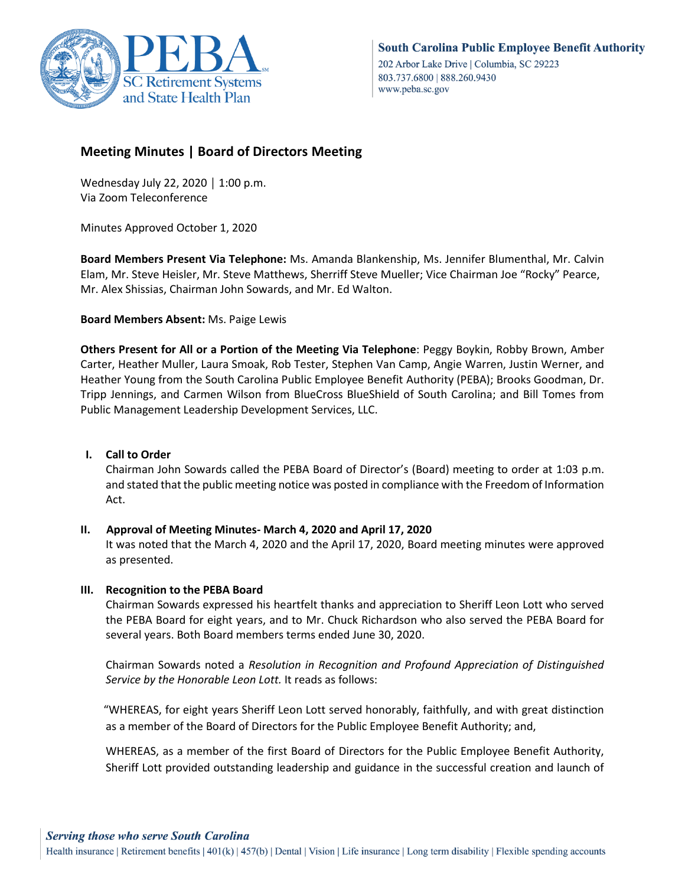

# **Meeting Minutes | Board of Directors Meeting**

Wednesday July 22, 2020 | 1:00 p.m. Via Zoom Teleconference

Minutes Approved October 1, 2020

**Board Members Present Via Telephone:** Ms. Amanda Blankenship, Ms. Jennifer Blumenthal, Mr. Calvin Elam, Mr. Steve Heisler, Mr. Steve Matthews, Sherriff Steve Mueller; Vice Chairman Joe "Rocky" Pearce, Mr. Alex Shissias, Chairman John Sowards, and Mr. Ed Walton.

**Board Members Absent:** Ms. Paige Lewis

**Others Present for All or a Portion of the Meeting Via Telephone**: Peggy Boykin, Robby Brown, Amber Carter, Heather Muller, Laura Smoak, Rob Tester, Stephen Van Camp, Angie Warren, Justin Werner, and Heather Young from the South Carolina Public Employee Benefit Authority (PEBA); Brooks Goodman, Dr. Tripp Jennings, and Carmen Wilson from BlueCross BlueShield of South Carolina; and Bill Tomes from Public Management Leadership Development Services, LLC.

# **I. Call to Order**

Chairman John Sowards called the PEBA Board of Director's (Board) meeting to order at 1:03 p.m. and stated that the public meeting notice was posted in compliance with the Freedom of Information Act.

# **II. Approval of Meeting Minutes- March 4, 2020 and April 17, 2020**

It was noted that the March 4, 2020 and the April 17, 2020, Board meeting minutes were approved as presented.

# **III. Recognition to the PEBA Board**

Chairman Sowards expressed his heartfelt thanks and appreciation to Sheriff Leon Lott who served the PEBA Board for eight years, and to Mr. Chuck Richardson who also served the PEBA Board for several years. Both Board members terms ended June 30, 2020.

Chairman Sowards noted a *Resolution in Recognition and Profound Appreciation of Distinguished Service by the Honorable Leon Lott.* It reads as follows:

"WHEREAS, for eight years Sheriff Leon Lott served honorably, faithfully, and with great distinction as a member of the Board of Directors for the Public Employee Benefit Authority; and,

WHEREAS, as a member of the first Board of Directors for the Public Employee Benefit Authority, Sheriff Lott provided outstanding leadership and guidance in the successful creation and launch of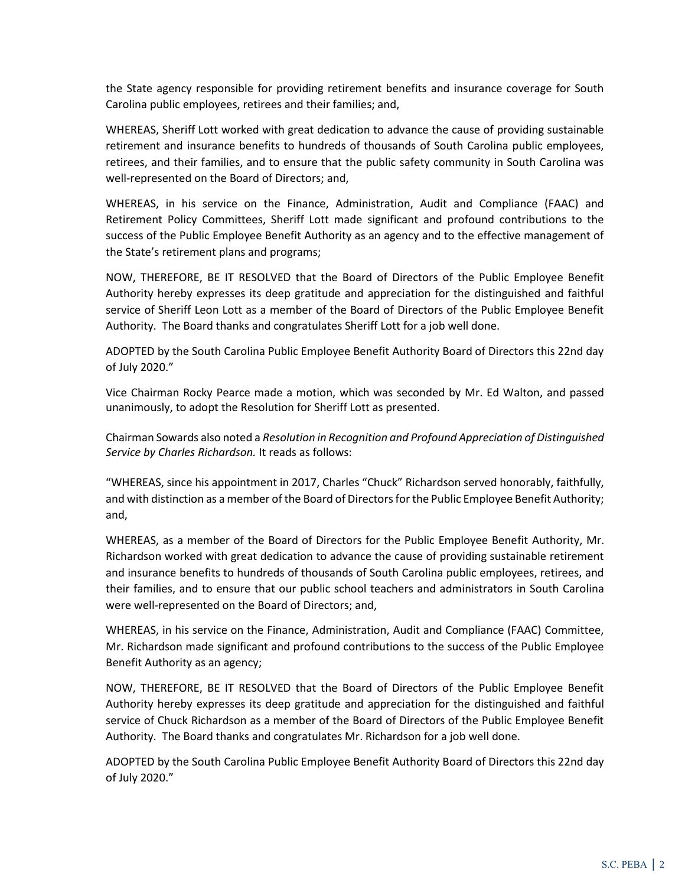the State agency responsible for providing retirement benefits and insurance coverage for South Carolina public employees, retirees and their families; and,

WHEREAS, Sheriff Lott worked with great dedication to advance the cause of providing sustainable retirement and insurance benefits to hundreds of thousands of South Carolina public employees, retirees, and their families, and to ensure that the public safety community in South Carolina was well-represented on the Board of Directors; and,

WHEREAS, in his service on the Finance, Administration, Audit and Compliance (FAAC) and Retirement Policy Committees, Sheriff Lott made significant and profound contributions to the success of the Public Employee Benefit Authority as an agency and to the effective management of the State's retirement plans and programs;

NOW, THEREFORE, BE IT RESOLVED that the Board of Directors of the Public Employee Benefit Authority hereby expresses its deep gratitude and appreciation for the distinguished and faithful service of Sheriff Leon Lott as a member of the Board of Directors of the Public Employee Benefit Authority. The Board thanks and congratulates Sheriff Lott for a job well done.

ADOPTED by the South Carolina Public Employee Benefit Authority Board of Directors this 22nd day of July 2020."

Vice Chairman Rocky Pearce made a motion, which was seconded by Mr. Ed Walton, and passed unanimously, to adopt the Resolution for Sheriff Lott as presented.

Chairman Sowards also noted a *Resolution in Recognition and Profound Appreciation of Distinguished Service by Charles Richardson.* It reads as follows:

"WHEREAS, since his appointment in 2017, Charles "Chuck" Richardson served honorably, faithfully, and with distinction as a member of the Board of Directors for the Public Employee Benefit Authority; and,

WHEREAS, as a member of the Board of Directors for the Public Employee Benefit Authority, Mr. Richardson worked with great dedication to advance the cause of providing sustainable retirement and insurance benefits to hundreds of thousands of South Carolina public employees, retirees, and their families, and to ensure that our public school teachers and administrators in South Carolina were well-represented on the Board of Directors; and,

WHEREAS, in his service on the Finance, Administration, Audit and Compliance (FAAC) Committee, Mr. Richardson made significant and profound contributions to the success of the Public Employee Benefit Authority as an agency;

NOW, THEREFORE, BE IT RESOLVED that the Board of Directors of the Public Employee Benefit Authority hereby expresses its deep gratitude and appreciation for the distinguished and faithful service of Chuck Richardson as a member of the Board of Directors of the Public Employee Benefit Authority. The Board thanks and congratulates Mr. Richardson for a job well done.

ADOPTED by the South Carolina Public Employee Benefit Authority Board of Directors this 22nd day of July 2020."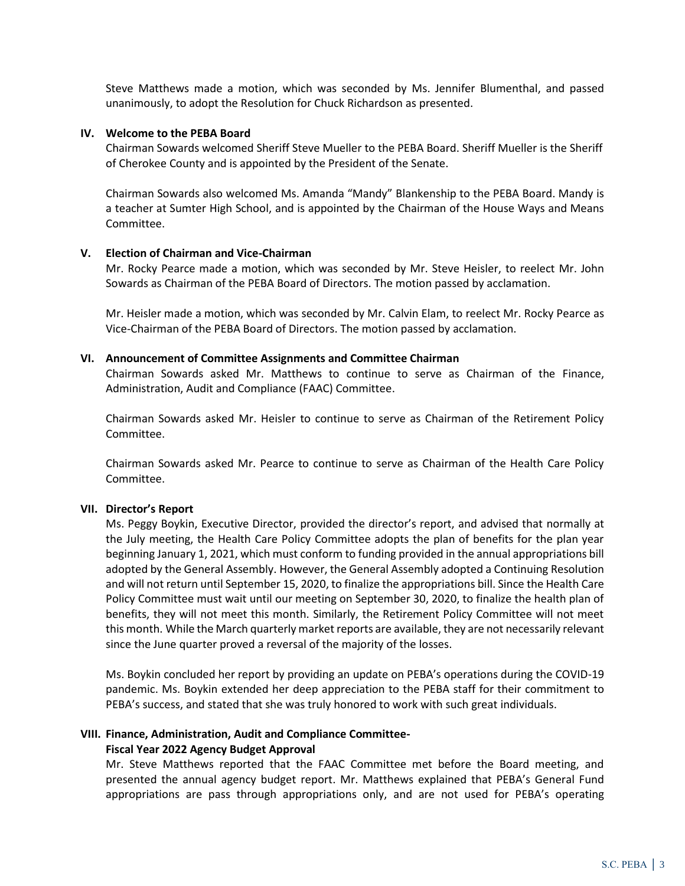Steve Matthews made a motion, which was seconded by Ms. Jennifer Blumenthal, and passed unanimously, to adopt the Resolution for Chuck Richardson as presented.

#### **IV. Welcome to the PEBA Board**

Chairman Sowards welcomed Sheriff Steve Mueller to the PEBA Board. Sheriff Mueller is the Sheriff of Cherokee County and is appointed by the President of the Senate.

Chairman Sowards also welcomed Ms. Amanda "Mandy" Blankenship to the PEBA Board. Mandy is a teacher at Sumter High School, and is appointed by the Chairman of the House Ways and Means Committee.

#### **V. Election of Chairman and Vice-Chairman**

Mr. Rocky Pearce made a motion, which was seconded by Mr. Steve Heisler, to reelect Mr. John Sowards as Chairman of the PEBA Board of Directors. The motion passed by acclamation.

Mr. Heisler made a motion, which was seconded by Mr. Calvin Elam, to reelect Mr. Rocky Pearce as Vice-Chairman of the PEBA Board of Directors. The motion passed by acclamation.

#### **VI. Announcement of Committee Assignments and Committee Chairman**

Chairman Sowards asked Mr. Matthews to continue to serve as Chairman of the Finance, Administration, Audit and Compliance (FAAC) Committee.

Chairman Sowards asked Mr. Heisler to continue to serve as Chairman of the Retirement Policy Committee.

Chairman Sowards asked Mr. Pearce to continue to serve as Chairman of the Health Care Policy Committee.

#### **VII. Director's Report**

Ms. Peggy Boykin, Executive Director, provided the director's report, and advised that normally at the July meeting, the Health Care Policy Committee adopts the plan of benefits for the plan year beginning January 1, 2021, which must conform to funding provided in the annual appropriations bill adopted by the General Assembly. However, the General Assembly adopted a Continuing Resolution and will not return until September 15, 2020, to finalize the appropriations bill. Since the Health Care Policy Committee must wait until our meeting on September 30, 2020, to finalize the health plan of benefits, they will not meet this month. Similarly, the Retirement Policy Committee will not meet this month. While the March quarterly market reports are available, they are not necessarily relevant since the June quarter proved a reversal of the majority of the losses.

Ms. Boykin concluded her report by providing an update on PEBA's operations during the COVID-19 pandemic. Ms. Boykin extended her deep appreciation to the PEBA staff for their commitment to PEBA's success, and stated that she was truly honored to work with such great individuals.

# **VIII. Finance, Administration, Audit and Compliance Committee-**

#### **Fiscal Year 2022 Agency Budget Approval**

Mr. Steve Matthews reported that the FAAC Committee met before the Board meeting, and presented the annual agency budget report. Mr. Matthews explained that PEBA's General Fund appropriations are pass through appropriations only, and are not used for PEBA's operating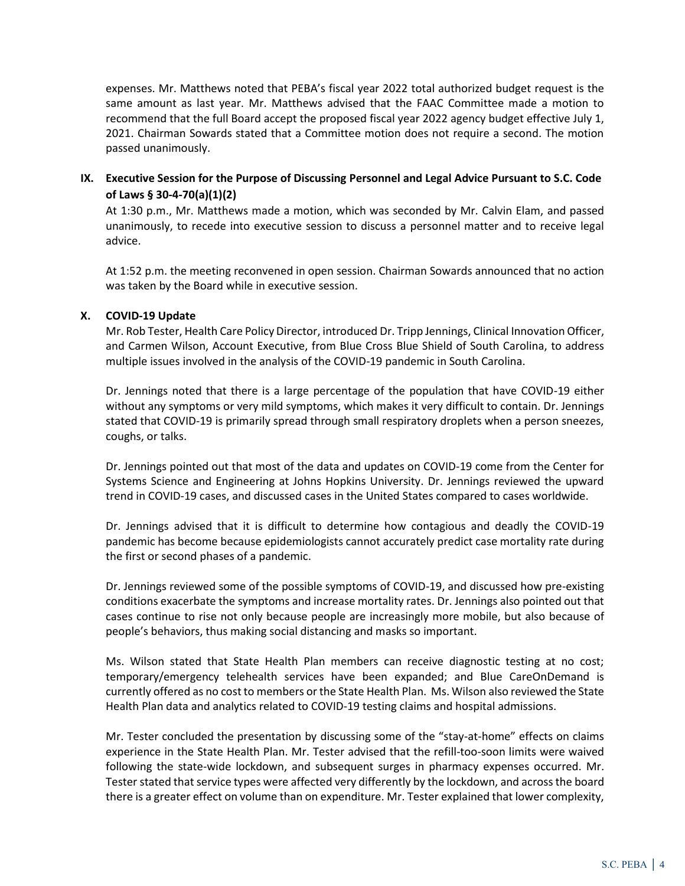expenses. Mr. Matthews noted that PEBA's fiscal year 2022 total authorized budget request is the same amount as last year. Mr. Matthews advised that the FAAC Committee made a motion to recommend that the full Board accept the proposed fiscal year 2022 agency budget effective July 1, 2021. Chairman Sowards stated that a Committee motion does not require a second. The motion passed unanimously.

# **IX. Executive Session for the Purpose of Discussing Personnel and Legal Advice Pursuant to S.C. Code of Laws § 30-4-70(a)(1)(2)**

At 1:30 p.m., Mr. Matthews made a motion, which was seconded by Mr. Calvin Elam, and passed unanimously, to recede into executive session to discuss a personnel matter and to receive legal advice.

At 1:52 p.m. the meeting reconvened in open session. Chairman Sowards announced that no action was taken by the Board while in executive session.

# **X. COVID-19 Update**

Mr. Rob Tester, Health Care Policy Director, introduced Dr. Tripp Jennings, Clinical Innovation Officer, and Carmen Wilson, Account Executive, from Blue Cross Blue Shield of South Carolina, to address multiple issues involved in the analysis of the COVID-19 pandemic in South Carolina.

Dr. Jennings noted that there is a large percentage of the population that have COVID-19 either without any symptoms or very mild symptoms, which makes it very difficult to contain. Dr. Jennings stated that COVID-19 is primarily spread through small respiratory droplets when a person sneezes, coughs, or talks.

Dr. Jennings pointed out that most of the data and updates on COVID-19 come from the Center for Systems Science and Engineering at Johns Hopkins University. Dr. Jennings reviewed the upward trend in COVID-19 cases, and discussed cases in the United States compared to cases worldwide.

Dr. Jennings advised that it is difficult to determine how contagious and deadly the COVID-19 pandemic has become because epidemiologists cannot accurately predict case mortality rate during the first or second phases of a pandemic.

Dr. Jennings reviewed some of the possible symptoms of COVID-19, and discussed how pre-existing conditions exacerbate the symptoms and increase mortality rates. Dr. Jennings also pointed out that cases continue to rise not only because people are increasingly more mobile, but also because of people's behaviors, thus making social distancing and masks so important.

Ms. Wilson stated that State Health Plan members can receive diagnostic testing at no cost; temporary/emergency telehealth services have been expanded; and Blue CareOnDemand is currently offered as no cost to members or the State Health Plan. Ms. Wilson also reviewed the State Health Plan data and analytics related to COVID-19 testing claims and hospital admissions.

Mr. Tester concluded the presentation by discussing some of the "stay-at-home" effects on claims experience in the State Health Plan. Mr. Tester advised that the refill-too-soon limits were waived following the state-wide lockdown, and subsequent surges in pharmacy expenses occurred. Mr. Tester stated that service types were affected very differently by the lockdown, and across the board there is a greater effect on volume than on expenditure. Mr. Tester explained that lower complexity,